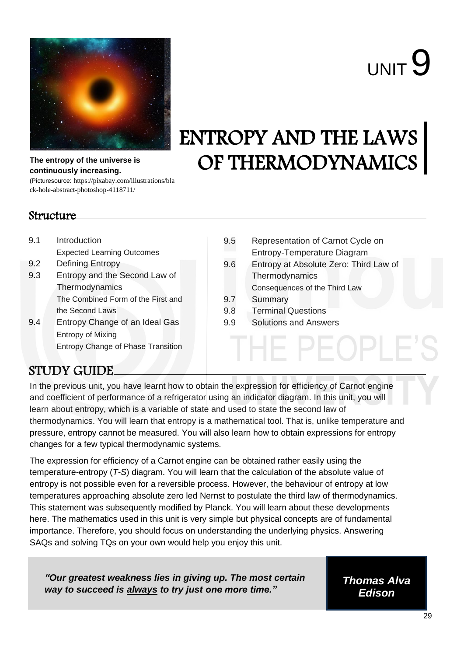

# UNIT<sup>Q</sup>

## ENTROPY AND THE LAWS OF THERMODYNAMICS

**The entropy of the universe is continuously increasing.** (Picturesource: https://pixabay.com/illustrations/bla ck-hole-abstract-photoshop-4118711/

#### Structure

| 9.1 | Introduction                              | 9.5 |  |
|-----|-------------------------------------------|-----|--|
|     | <b>Expected Learning Outcomes</b>         |     |  |
| 9.2 | Defining Entropy                          | 9.6 |  |
| 9.3 | Entropy and the Second Law of             |     |  |
|     | Thermodynamics                            |     |  |
|     | The Combined Form of the First and        | 9.7 |  |
|     | the Second Laws                           | 9.8 |  |
| 9.4 | Entropy Change of an Ideal Gas            | 9.9 |  |
|     | <b>Entropy of Mixing</b>                  |     |  |
|     | <b>Entropy Change of Phase Transition</b> |     |  |

9.5 Representation of Carnot Cycle on Entropy-Temperature Diagram 9.6 Entropy at Absolute Zero: Third Law of **Thermodynamics** Consequences of the Third Law Summary

 $\vdash$   $\Box$ 

- **Terminal Questions**
- Solutions and Answers

#### STUDY GUIDE

In the previous unit, you have learnt how to obtain the expression for efficiency of Carnot engine and coefficient of performance of a refrigerator using an indicator diagram. In this unit, you will learn about entropy, which is a variable of state and used to state the second law of thermodynamics. You will learn that entropy is a mathematical tool. That is, unlike temperature and pressure, entropy cannot be measured. You will also learn how to obtain expressions for entropy changes for a few typical thermodynamic systems.

The expression for efficiency of a Carnot engine can be obtained rather easily using the temperature-entropy (*T-S*) diagram. You will learn that the calculation of the absolute value of entropy is not possible even for a reversible process. However, the behaviour of entropy at low temperatures approaching absolute zero led Nernst to postulate the third law of thermodynamics. This statement was subsequently modified by Planck. You will learn about these developments here. The mathematics used in this unit is very simple but physical concepts are of fundamental importance. Therefore, you should focus on understanding the underlying physics. Answering SAQs and solving TQs on your own would help you enjoy this unit.

*"Our greatest weakness lies in giving up. The most certain way to succeed is always to try just one more time."*

*Thomas Alva Edison*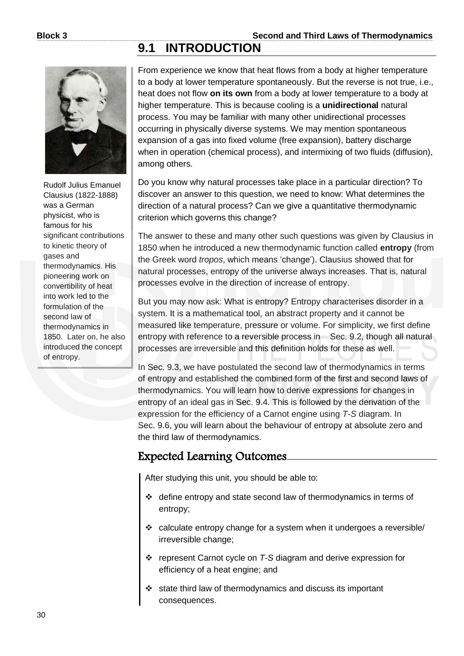#### **9.1 INTRODUCTION**



Rudolf Julius Emanuel Clausius (1822-1888) was a German physicist, who is famous for his significant contributions to kinetic theory of gases and thermodynamics. His pioneering work on convertibility of heat into work led to the formulation of the second law of thermodynamics in 1850. Later on, he also introduced the concept of entropy.

From experience we know that heat flows from a body at higher temperature to a body at lower temperature spontaneously. But the reverse is not true, i.e., heat does not flow **on its own** from a body at lower temperature to a body at higher temperature. This is because cooling is a **unidirectional** natural process. You may be familiar with many other unidirectional processes occurring in physically diverse systems. We may mention spontaneous expansion of a gas into fixed volume (free expansion), battery discharge when in operation (chemical process), and intermixing of two fluids (diffusion), among others.

Do you know why natural processes take place in a particular direction? To discover an answer to this question, we need to know: What determines the direction of a natural process? Can we give a quantitative thermodynamic criterion which governs this change?

The answer to these and many other such questions was given by Clausius in 1850 when he introduced a new thermodynamic function called **entropy** (from the Greek word *tropos*, which means 'change'). Clausius showed that for natural processes, entropy of the universe always increases. That is, natural processes evolve in the direction of increase of entropy.

But you may now ask: What is entropy? Entropy characterises disorder in a system. It is a mathematical tool, an abstract property and it cannot be measured like temperature, pressure or volume. For simplicity, we first define entropy with reference to a reversible process in Sec. 9.2, though all natural processes are irreversible and this definition holds for these as well.

In Sec. 9.3, we have postulated the second law of thermodynamics in terms of entropy and established the combined form of the first and second laws of thermodynamics. You will learn how to derive expressions for changes in entropy of an ideal gas in Sec. 9.4. This is followed by the derivation of the expression for the efficiency of a Carnot engine using *T-S* diagram. In Sec. 9.6, you will learn about the behaviour of entropy at absolute zero and the third law of thermodynamics.

#### Expected Learning Outcomes

After studying this unit, you should be able to:

- ❖ define entropy and state second law of thermodynamics in terms of entropy;
- ❖ calculate entropy change for a system when it undergoes a reversible/ irreversible change;
- ❖ represent Carnot cycle on *T-S* diagram and derive expression for efficiency of a heat engine; and
- state third law of thermodynamics and discuss its important consequences.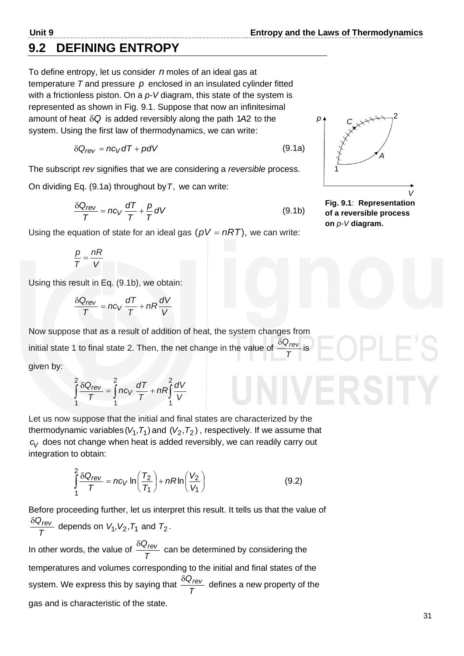#### **9.2 DEFINING ENTROPY**

To define entropy, let us consider *n* moles of an ideal gas at temperature T and pressure  $p$  enclosed in an insulated cylinder fitted with a frictionless piston. On a  $p$ -V diagram, this state of the system is represented as shown in Fig. 9.1. Suppose that now an infinitesimal amount of heat  $\delta Q$  is added reversibly along the path 1A2 to the system. Using the first law of thermodynamics, we can write:

$$
\delta Q_{rev} = n c_V dT + p dV \qquad (9.1a)
$$

The subscript *rev* signifies that we are considering a *reversible* process.

On dividing Eq. (9.1a) throughout by *T*, we can write:

$$
\frac{\delta Q_{rev}}{T} = n c_V \frac{dT}{T} + \frac{\rho}{T} dV
$$
 (9.1b)

Using the equation of state for an ideal gas ( $pV = nRT$ ), we can write:

$$
\frac{p}{T} = \frac{nR}{V}
$$

Using this result in Eq. (9.1b), we obtain:

$$
\frac{\delta Q_{rev}}{T} = n c_V \frac{dT}{T} + n R \frac{dV}{V}
$$

Now suppose that as a result of addition of heat, the system changes from initial state 1 to final state 2. Then, the net change in the value of *T*  $\frac{\delta Q_{rev}}{T}$  is given by:

$$
\int_{1}^{2} \frac{\delta Q_{rev}}{T} = \int_{1}^{2} n c_V \frac{dT}{T} + nR \int_{1}^{2} \frac{dV}{V}
$$

Let us now suppose that the initial and final states are characterized by the thermodynamic variables ( $V_1, T_1$ ) and ( $V_2, T_2$ ), respectively. If we assume that *V c* does not change when heat is added reversibly, we can readily carry out integration to obtain:

$$
\int_{1}^{2} \frac{\delta Q_{rev}}{T} = n c_V \ln \left( \frac{T_2}{T_1} \right) + nR \ln \left( \frac{V_2}{V_1} \right)
$$
 (9.2)

Before proceeding further, let us interpret this result. It tells us that the value of *T*  $\frac{\delta Q_{rev}}{\tau}$  depends on  $V_1, V_2, T_1$  and  $T_2$ .

In other words, the value of *T*  $\frac{\delta Q_{rev}}{Z}$  can be determined by considering the temperatures and volumes corresponding to the initial and final states of the system. We express this by saying that *T*  $\frac{\delta Q_{rev}}{Z}$  defines a new property of the gas and is characteristic of the state.



**Fig. 9.1**: **Representation of a reversible process on** *p-V* **diagram.** *V*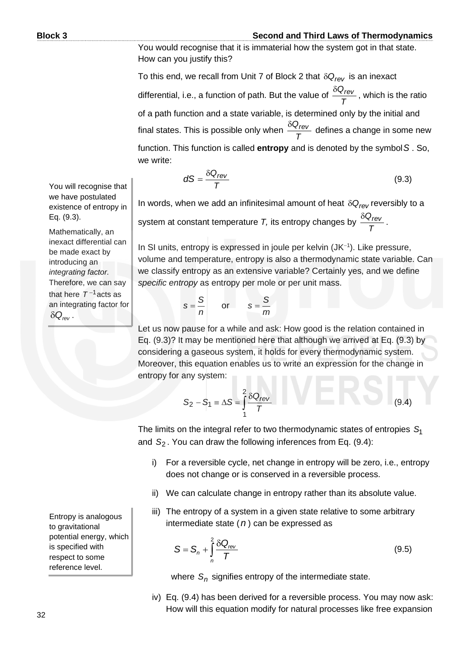You would recognise that it is immaterial how the system got in that state. How can you justify this?

To this end, we recall from Unit 7 of Block 2 that *Qrev* is an inexact differential, i.e., a function of path. But the value of *T*  $\frac{\delta Q_{rev}}{\tau}$ , which is the ratio of a path function and a state variable, is determined only by the initial and final states. This is possible only when *T*  $\frac{\delta Q_{rev}}{\tau}$  defines a change in some new function. This function is called **entropy** and is denoted by the symbol *S* . So, we write:

$$
dS = \frac{\delta Q_{rev}}{T}
$$
 (9.3)

In words, when we add an infinitesimal amount of heat  $\delta Q_{rev}$  reversibly to a system at constant temperature *T,* its entropy changes by *T*  $\frac{\delta Q_{rev}}{\tau}$  .

In SI units, entropy is expressed in joule per kelvin (JK<sup>−</sup><sup>1</sup> ). Like pressure, volume and temperature, entropy is also a thermodynamic state variable. Can we classify entropy as an extensive variable? Certainly yes, and we define *specific entropy* as entropy per mole or per unit mass.

$$
s = \frac{S}{n} \qquad \text{or} \qquad s = \frac{S}{m}
$$

Let us now pause for a while and ask: How good is the relation contained in Eq. (9.3)? It may be mentioned here that although we arrived at Eq. (9.3) by considering a gaseous system, it holds for every thermodynamic system. Moreover, this equation enables us to write an expression for the change in entropy for any system:

$$
S_2 - S_1 = \Delta S = \int_1^2 \frac{\delta Q_{rev}}{T}
$$
 (9.4)

The limits on the integral refer to two thermodynamic states of entropies *S*1 and *S*2 . You can draw the following inferences from Eq. (9.4):

- i) For a reversible cycle, net change in entropy will be zero, i.e., entropy does not change or is conserved in a reversible process.
- ii) We can calculate change in entropy rather than its absolute value.
- iii) The entropy of a system in a given state relative to some arbitrary intermediate state ( *n* ) can be expressed as

$$
S = S_n + \int_{n}^{2} \frac{\delta Q_{rev}}{T}
$$
 (9.5)

where  $S_n$  signifies entropy of the intermediate state.

iv) Eq. (9.4) has been derived for a reversible process. You may now ask: How will this equation modify for natural processes like free expansion

You will recognise that we have postulated existence of entropy in Eq. (9.3).

Mathematically, an inexact differential can be made exact by introducing an *integrating factor.*  Therefore, we can say that here  $T^{-1}$  acts as an integrating factor for  $\delta Q_{\text{rev}}$ .

Entropy is analogous to gravitational potential energy, which is specified with respect to some reference level.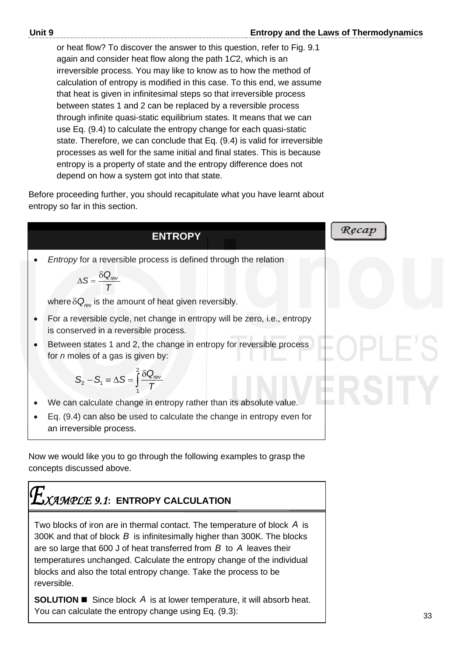or heat flow? To discover the answer to this question, refer to Fig. 9.1 again and consider heat flow along the path 1*C*2, which is an irreversible process. You may like to know as to how the method of calculation of entropy is modified in this case. To this end, we assume that heat is given in infinitesimal steps so that irreversible process between states 1 and 2 can be replaced by a reversible process through infinite quasi-static equilibrium states. It means that we can use Eq. (9.4) to calculate the entropy change for each quasi-static state. Therefore, we can conclude that Eq. (9.4) is valid for irreversible processes as well for the same initial and final states. This is because entropy is a property of state and the entropy difference does not depend on how a system got into that state.

Before proceeding further, you should recapitulate what you have learnt about entropy so far in this section.

#### **ENTROPY**

• *Entropy* for a reversible process is defined through the relation

$$
\Delta S = \frac{\delta Q_{\text{rev}}}{T}
$$

where  $\delta \mathsf{Q}_{_{\sf rev}}$  is the amount of heat given reversibly.

- For a reversible cycle, net change in entropy will be zero, i.e., entropy is conserved in a reversible process.
- Between states 1 and 2, the change in entropy for reversible process for *n* moles of a gas is given by:

$$
S_2-S_1\equiv\Delta S=\int_1^2\frac{\delta Q_{\text{rev}}}{T}
$$

- We can calculate change in entropy rather than its absolute value.
- Eq. (9.4) can also be used to calculate the change in entropy even for an irreversible process.

Now we would like you to go through the following examples to grasp the concepts discussed above.

### *XAMPLE 9.1***: ENTROPY CALCULATION**

Two blocks of iron are in thermal contact. The temperature of block *A* is 300K and that of block B is infinitesimally higher than 300K. The blocks are so large that 600 J of heat transferred from *B* to *A* leaves their temperatures unchanged. Calculate the entropy change of the individual blocks and also the total entropy change. Take the process to be reversible.

**SOLUTION** ■ Since block A is at lower temperature, it will absorb heat. You can calculate the entropy change using Eq. (9.3):

$$
{\mathcal Re} cap
$$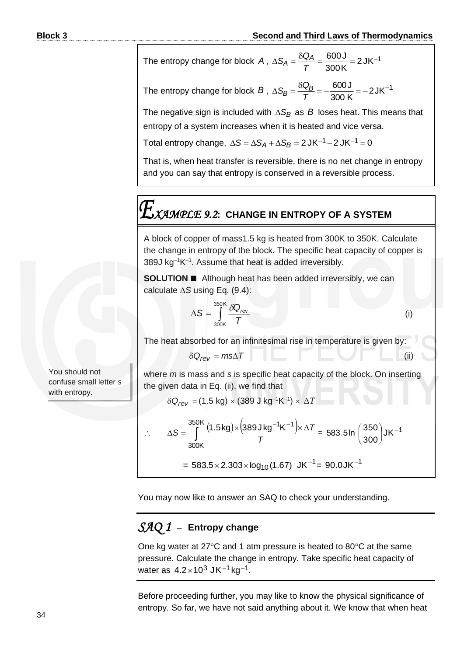(i)

(ii)

The entropy change for block A, 
$$
\Delta S_A = \frac{\delta Q_A}{T} = \frac{600 \text{ J}}{300 \text{ K}} = 2 \text{ JK}^{-1}
$$

The entropy change for block  $B$ ,  $\Delta S_B = \frac{\delta Q_B}{T} = -\frac{600 \text{ J}}{200 \text{ K}} = -2 \text{ J K}^{-1}$ 300 K  $\dot{B} = \frac{\partial \mathbf{G} B}{T}$  $S_B = \frac{\delta Q}{T}$ *T*

The negative sign is included with  $\Delta S_B$  as  $B$  loses heat. This means that entropy of a system increases when it is heated and vice versa.

Total entropy change,  $\Delta S = \Delta S_A + \Delta S_B = 2 J K^{-1} - 2 J K^{-1} = 0$ 

That is, when heat transfer is reversible, there is no net change in entropy and you can say that entropy is conserved in a reversible process.

## *XAMPLE 9.2***: CHANGE IN ENTROPY OF A SYSTEM**

A block of copper of mass1.5 kg is heated from 300K to 350K. Calculate the change in entropy of the block. The specific heat capacity of copper is 389J kg<sup>-1</sup>K<sup>-1</sup>. Assume that heat is added irreversibly.

**SOLUTION ■** Although heat has been added irreversibly, we can calculate  $\Delta S$  using Eq. (9.4):

$$
\Delta S = \int_{300K}^{350K} \frac{\delta Q_{\text{rev}}}{T}
$$

The heat absorbed for an infinitesimal rise in temperature is given by:

$$
\delta Q_{rev} = ms\Delta T
$$

You should not confuse small letter *s* with entropy.

where *m* is mass and *s* is specific heat capacity of the block. On inserting the given data in Eq. (ii), we find that

 $\delta Q_{\textit{rev}} = (1.5 \text{ kg}) \times (389 \text{ J kg}^{-1}\text{K}^{-1}) \times \Delta T$ 

$$
\Delta S = \int_{300K}^{350K} \frac{(1.5 \text{ kg}) \times (389 \text{ J kg}^{-1} \text{K}^{-1}) \times \Delta T}{T} = 583.5 \text{ln} \left(\frac{350}{300}\right) \text{JK}^{-1}
$$

$$
= 583.5 \times 2.303 \times \log_{10} (1.67) \text{ JK}^{-1} = 90.0 \text{JK}^{-1}
$$

You may now like to answer an SAQ to check your understanding.

#### *SAQ 1* –**Entropy change**

 $\mathcal{L}$ 

One kg water at 27 $\degree$ C and 1 atm pressure is heated to 80 $\degree$ C at the same pressure. Calculate the change in entropy. Take specific heat capacity of water as  $4.2 \times 10^3$  JK<sup>-1</sup> kg<sup>-1</sup>.

Before proceeding further, you may like to know the physical significance of entropy. So far, we have not said anything about it. We know that when heat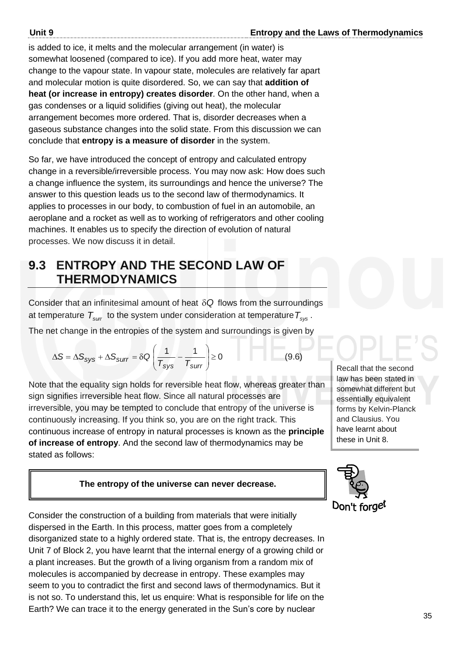is added to ice, it melts and the molecular arrangement (in water) is somewhat loosened (compared to ice). If you add more heat, water may change to the vapour state. In vapour state, molecules are relatively far apart and molecular motion is quite disordered. So, we can say that **addition of heat (or increase in entropy) creates disorder***.* On the other hand, when a gas condenses or a liquid solidifies (giving out heat), the molecular arrangement becomes more ordered. That is, disorder decreases when a gaseous substance changes into the solid state. From this discussion we can conclude that **entropy is a measure of disorder** in the system.

So far, we have introduced the concept of entropy and calculated entropy change in a reversible/irreversible process. You may now ask: How does such a change influence the system, its surroundings and hence the universe? The answer to this question leads us to the second law of thermodynamics. It applies to processes in our body, to combustion of fuel in an automobile, an aeroplane and a rocket as well as to working of refrigerators and other cooling machines. It enables us to specify the direction of evolution of natural processes. We now discuss it in detail.

#### **9.3 ENTROPY AND THE SECOND LAW OF THERMODYNAMICS**

Consider that an infinitesimal amount of heat  $\delta Q$  flows from the surroundings at temperature  $\, T_{\scriptscriptstyle \text{surr}}\,$  to the system under consideration at temperature  $T_{\scriptscriptstyle \text{sys}}$  . The net change in the entropies of the system and surroundings is given by

$$
\Delta S = \Delta S_{sys} + \Delta S_{surr} = \delta Q \left( \frac{1}{T_{sys}} - \frac{1}{T_{surr}} \right) \ge 0
$$
 (9.6)

Note that the equality sign holds for reversible heat flow, whereas greater than sign signifies irreversible heat flow. Since all natural processes are irreversible, you may be tempted to conclude that entropy of the universe is continuously increasing. If you think so, you are on the right track. This continuous increase of entropy in natural processes is known as the **principle of increase of entropy**. And the second law of thermodynamics may be stated as follows:

#### **The entropy of the universe can never decrease.**

Consider the construction of a building from materials that were initially dispersed in the Earth. In this process, matter goes from a completely disorganized state to a highly ordered state. That is, the entropy decreases. In Unit 7 of Block 2, you have learnt that the internal energy of a growing child or a plant increases. But the growth of a living organism from a random mix of molecules is accompanied by decrease in entropy. These examples may seem to you to contradict the first and second laws of thermodynamics. But it is not so. To understand this, let us enquire: What is responsible for life on the Earth? We can trace it to the energy generated in the Sun's core by nuclear

Recall that the second law has been stated in somewhat different but essentially equivalent forms by Kelvin-Planck and Clausius. You have learnt about these in Unit 8.

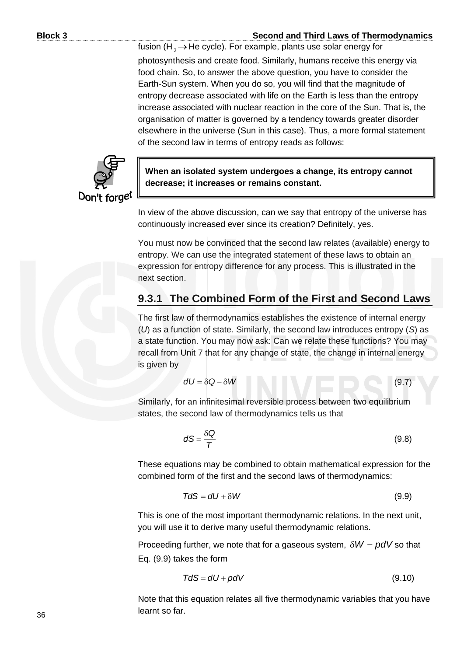fusion (H $_2$   $\rightarrow$  He cycle). For example, plants use solar energy for photosynthesis and create food. Similarly, humans receive this energy via food chain. So, to answer the above question, you have to consider the Earth-Sun system. When you do so, you will find that the magnitude of entropy decrease associated with life on the Earth is less than the entropy increase associated with nuclear reaction in the core of the Sun. That is, the organisation of matter is governed by a tendency towards greater disorder elsewhere in the universe (Sun in this case). Thus, a more formal statement of the second law in terms of entropy reads as follows:



**When an isolated system undergoes a change, its entropy cannot decrease; it increases or remains constant.**

In view of the above discussion, can we say that entropy of the universe has continuously increased ever since its creation? Definitely, yes.

You must now be convinced that the second law relates (available) energy to entropy. We can use the integrated statement of these laws to obtain an expression for entropy difference for any process. This is illustrated in the next section.

#### **9.3.1 The Combined Form of the First and Second Laws**

The first law of thermodynamics establishes the existence of internal energy (*U*) as a function of state. Similarly, the second law introduces entropy (*S*) as a state function. You may now ask: Can we relate these functions? You may recall from Unit 7 that for any change of state, the change in internal energy is given by

$$
dU = \delta Q - \delta W
$$

Similarly, for an infinitesimal reversible process between two equilibrium states, the second law of thermodynamics tells us that

$$
dS = \frac{\delta Q}{T}
$$
 (9.8)

(9.7)

These equations may be combined to obtain mathematical expression for the combined form of the first and the second laws of thermodynamics:

$$
TdS = dU + \delta W \tag{9.9}
$$

This is one of the most important thermodynamic relations. In the next unit, you will use it to derive many useful thermodynamic relations.

Proceeding further, we note that for a gaseous system,  $\delta W = \rho dV$  so that Eq. (9.9) takes the form

$$
TdS = dU + pdV \tag{9.10}
$$

Note that this equation relates all five thermodynamic variables that you have learnt so far.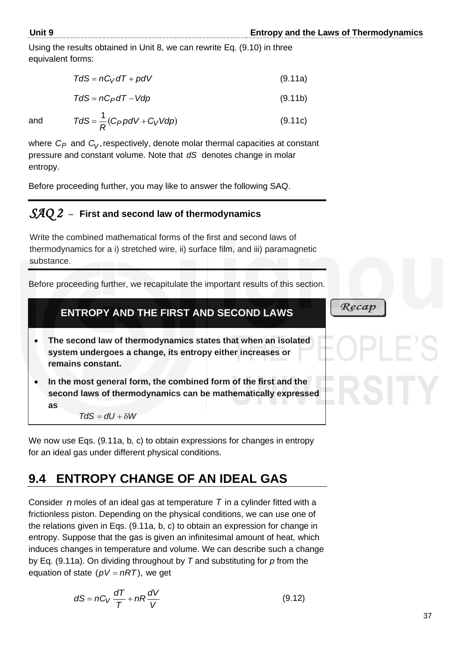Recap

(9.11c)

Using the results obtained in Unit 8, we can rewrite Eq. (9.10) in three equivalent forms:

| $TdS = nC_V dT + pdV$ | (9.11a) |
|-----------------------|---------|
|-----------------------|---------|

$$
TdS = nC_P dT - Vdp \tag{9.11b}
$$

and

(C<sub>P</sub> pdV + C<sub>V</sub> Vdp)  $TdS = \frac{1}{R}(C_P \rho dV + C_V)$ where  $C_P$  and  $C_V$ , respectively, denote molar thermal capacities at constant

pressure and constant volume. Note that *dS* denotes change in molar entropy.

Before proceeding further, you may like to answer the following SAQ.

#### *SAQ 2* –**First and second law of thermodynamics**

Write the combined mathematical forms of the first and second laws of thermodynamics for a i) stretched wire, ii) surface film, and iii) paramagnetic substance.

Before proceeding further, we recapitulate the important results of this section.

#### **ENTROPY AND THE FIRST AND SECOND LAWS**

• **The second law of thermodynamics states that when an isolated system undergoes a change, its entropy either increases or remains constant.**

• **In the most general form, the combined form of the first and the second laws of thermodynamics can be mathematically expressed as**

 $TdS = dU + \delta W$ 

We now use Eqs. (9.11a, b, c) to obtain expressions for changes in entropy for an ideal gas under different physical conditions.

#### **9.4 ENTROPY CHANGE OF AN IDEAL GAS**

Consider *n* moles of an ideal gas at temperature *T* in a cylinder fitted with a frictionless piston. Depending on the physical conditions, we can use one of the relations given in Eqs. (9.11a, b, c) to obtain an expression for change in entropy. Suppose that the gas is given an infinitesimal amount of heat, which induces changes in temperature and volume. We can describe such a change by Eq. (9.11a). On dividing throughout by *T* and substituting for *p* from the equation of state  $(pV = nRT)$ , we get

$$
dS = nC_V \frac{dT}{T} + nR \frac{dV}{V}
$$
 (9.12)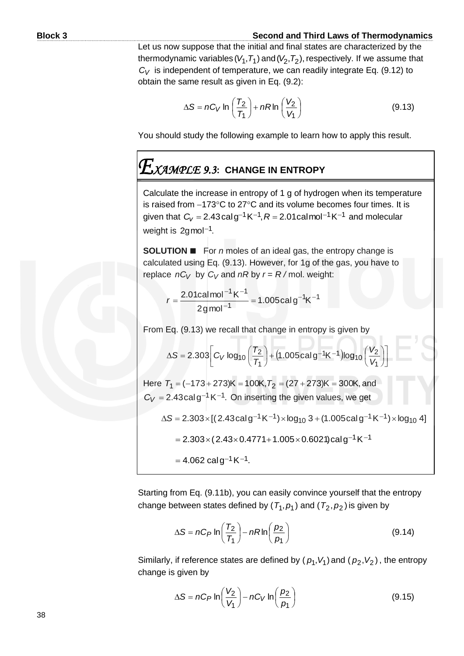Let us now suppose that the initial and final states are characterized by the thermodynamic variables ( $V_1, T_1$ ) and ( $V_2, T_2$ ), respectively. If we assume that  $C_V$  is independent of temperature, we can readily integrate Eq. (9.12) to obtain the same result as given in Eq. (9.2):

$$
\Delta S = nC_V \ln \left( \frac{T_2}{T_1} \right) + nR \ln \left( \frac{V_2}{V_1} \right)
$$
 (9.13)

You should study the following example to learn how to apply this result.

### $\mathcal{I}_{\text{XAMPLE}}$  9.3: CHANGE IN ENTROPY

Calculate the increase in entropy of 1 g of hydrogen when its temperature is raised from −173°C to 27°C and its volume becomes four times. It is given that  $C_V = 2.43 \text{ cal} \text{ g}^{-1} \text{ K}^{-1}, R = 2.01 \text{ cal} \text{ mol}^{-1} \text{ K}^{-1}$  and molecular weight is 2gmol<sup>-1</sup>.

**SOLUTION ■** For *n* moles of an ideal gas, the entropy change is calculated using Eq. (9.13). However, for 1g of the gas, you have to replace  $nC_V$  by  $C_V$  and  $nR$  by  $r = R$  / mol. weight:

$$
r = \frac{2.01 \text{cal} \text{mol}^{-1} \text{K}^{-1}}{2 \text{g} \text{mol}^{-1}} = 1.005 \text{cal} \text{g}^{-1} \text{K}^{-1}
$$

From Eq. (9.13) we recall that change in entropy is given by

$$
\Delta S = 2.303 \Bigg[ C_V \log_{10} \left( \frac{T_2}{T_1} \right) + (1.005 \text{ cal } g^{-1} \text{K}^{-1}) \log_{10} \left( \frac{V_2}{V_1} \right) \Bigg]
$$
  
\nHere  $T_1 = (-173 + 273) \text{K} = 100 \text{K}, T_2 = (27 + 273) \text{K} = 300 \text{K}, \text{ and}$   
\n $C_V = 2.43 \text{ cal } g^{-1} \text{K}^{-1}.$  On inserting the given values, we get  
\n
$$
\Delta S = 2.303 \times [(2.43 \text{ cal } g^{-1} \text{K}^{-1}) \times \log_{10} 3 + (1.005 \text{ cal } g^{-1} \text{K}^{-1}) \times \log_{10} 4]
$$
  
\n= 2.303 \times (2.43 \times 0.4771 + 1.005 \times 0.6021) \text{ cal } g^{-1} \text{K}^{-1}  
\n= 4.062 \text{ cal } g^{-1} \text{K}^{-1}.

Starting from Eq. (9.11b), you can easily convince yourself that the entropy change between states defined by  $(T_1, p_1)$  and  $(T_2, p_2)$  is given by

$$
\Delta S = nC_P \ln \left( \frac{T_2}{T_1} \right) - nR \ln \left( \frac{p_2}{p_1} \right) \tag{9.14}
$$

Similarly, if reference states are defined by  $(p_1, V_1)$  and  $(p_2, V_2)$ , the entropy change is given by

$$
\Delta S = nC_P \ln \left( \frac{V_2}{V_1} \right) - nC_V \ln \left( \frac{p_2}{p_1} \right)
$$
 (9.15)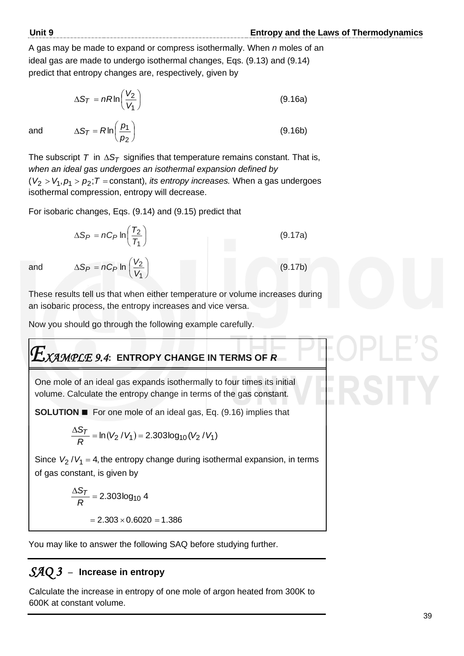(9.16b)

A gas may be made to expand or compress isothermally. When *n* moles of an ideal gas are made to undergo isothermal changes, Eqs. (9.13) and (9.14) predict that entropy changes are, respectively, given by

$$
\Delta S_T = nR \ln \left( \frac{V_2}{V_1} \right) \tag{9.16a}
$$

and

The subscript  $\tau$  in  $_{\Delta S_{\mathcal{T}}}$  signifies that temperature remains constant. That is, *when an ideal gas undergoes an isothermal expansion defined by*  ( $V_2 > V_1, p_1 > p_2$ ; *T* = constant), *its entropy increases.* When a gas undergoes isothermal compression, entropy will decrease.

For isobaric changes, Eqs. (9.14) and (9.15) predict that

 $\Delta S_T = R \ln \left( \frac{P_1}{p_2} \right)$ 

 $\left(\frac{p_1}{q_1}\right)$  $\setminus$  $=$  RIn $\Big($ 

 $\mathbf{2}$  $\ln\left|\frac{p_1}{p_2}\right|$ *p*  $R \ln \left( \frac{p}{p} \right)$ 

$$
\Delta S_P = nC_P \ln \left( \frac{T_2}{T_1} \right)
$$
 (9.17a)  

$$
\Delta S_P = nC_P \ln \left( \frac{V_2}{V_1} \right)
$$
 (9.17b)

and

These results tell us that when either temperature or volume increases during an isobaric process, the entropy increases and vice versa.

Now you should go through the following example carefully.

$$
E_{\text{XAMPLE 9.4: ENTROPY CHANGE IN TERMS OF R}
$$

One mole of an ideal gas expands isothermally to four times its initial volume. Calculate the entropy change in terms of the gas constant.

**SOLUTION** ◼ For one mole of an ideal gas, Eq. (9.16) implies that

$$
\frac{\Delta S_T}{R} = \ln(V_2 / V_1) = 2.303 \log_{10} (V_2 / V_1)
$$

Since  $V_2/V_1 = 4$ , the entropy change during isothermal expansion, in terms of gas constant, is given by

$$
\frac{\Delta S_T}{R} = 2.303 \log_{10} 4
$$

$$
= 2.303 \times 0.6020 = 1.386
$$

You may like to answer the following SAQ before studying further.

#### *SAQ 3* –**Increase in entropy**

Calculate the increase in entropy of one mole of argon heated from 300K to 600K at constant volume.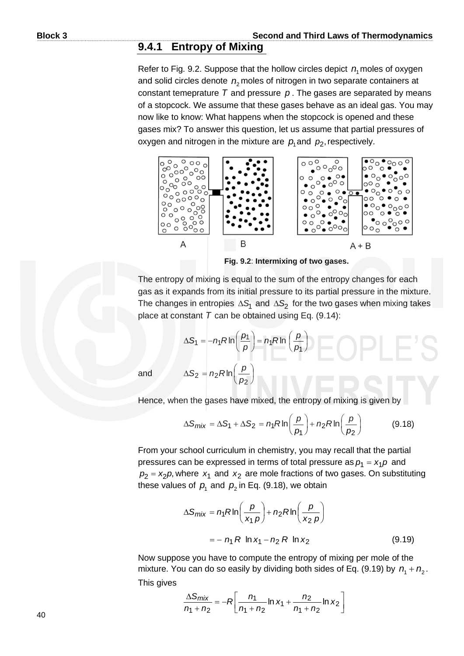#### **9.4.1 Entropy of Mixing**

Refer to Fig. 9.2. Suppose that the hollow circles depict  $n_1$  moles of oxygen and solid circles denote  $n_{2}$  moles of nitrogen in two separate containers at constant temeprature  $T$  and pressure  $p$ . The gases are separated by means of a stopcock. We assume that these gases behave as an ideal gas. You may now like to know: What happens when the stopcock is opened and these gases mix? To answer this question, let us assume that partial pressures of oxygen and nitrogen in the mixture are  $p_1$  and  $p_2$ , respectively.



**Fig. 9.2**: **Intermixing of two gases.**

The entropy of mixing is equal to the sum of the entropy changes for each gas as it expands from its initial pressure to its partial pressure in the mixture. The changes in entropies  $\Delta S_1$  and  $\Delta S_2$  for the two gases when mixing takes place at constant *T* can be obtained using Eq. (9.14):

$$
\Delta S_1 = -n_1 R \ln \left( \frac{p_1}{p} \right) = n_1 R \ln \left( \frac{p}{p_1} \right)
$$
  

$$
\Delta S_2 = n_2 R \ln \left( \frac{p}{p_2} \right)
$$

and

Hence, when the gases have mixed, the entropy of mixing is given by

$$
\Delta S_{\text{mix}} = \Delta S_1 + \Delta S_2 = n_1 R \ln \left( \frac{p}{p_1} \right) + n_2 R \ln \left( \frac{p}{p_2} \right) \tag{9.18}
$$

From your school curriculum in chemistry, you may recall that the partial pressures can be expressed in terms of total pressure as  $p_1 = x_1p$  and  $p_2 = x_2 p$ , where  $x_1$  and  $x_2$  are mole fractions of two gases. On substituting these values of  $p_1$  and  $p_2$  in Eq. (9.18), we obtain

$$
\Delta S_{mix} = n_1 R \ln \left( \frac{p}{x_1 p} \right) + n_2 R \ln \left( \frac{p}{x_2 p} \right)
$$

$$
= - n_1 R \ln x_1 - n_2 R \ln x_2 \qquad (9.19)
$$

Now suppose you have to compute the entropy of mixing per mole of the mixture. You can do so easily by dividing both sides of Eq. (9.19) by  $n_1 + n_2$ . This gives

$$
\frac{\Delta S_{mix}}{n_1 + n_2} = -R \left[ \frac{n_1}{n_1 + n_2} \ln x_1 + \frac{n_2}{n_1 + n_2} \ln x_2 \right]
$$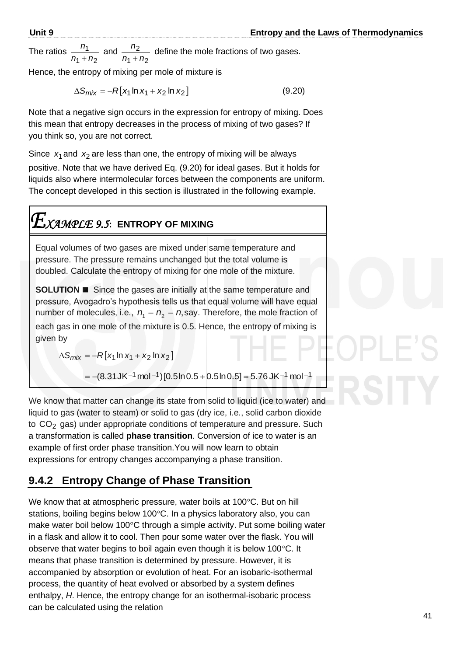The ratios  $1 + 12$ 1  $n_1 + n$ *n* + and  $1 + 12$ 2  $n_1 + n$ *n* + define the mole fractions of two gases.

Hence, the entropy of mixing per mole of mixture is

$$
\Delta S_{mix} = -R[x_1 \ln x_1 + x_2 \ln x_2]
$$
 (9.20)

Note that a negative sign occurs in the expression for entropy of mixing. Does this mean that entropy decreases in the process of mixing of two gases? If you think so, you are not correct.

Since  $x_1$  and  $x_2$  are less than one, the entropy of mixing will be always positive. Note that we have derived Eq. (9.20) for ideal gases. But it holds for liquids also where intermolecular forces between the components are uniform. The concept developed in this section is illustrated in the following example.

### $\mathcal{I}_{\mathit{XAMPLE}}$  9.5 $\colon$  entropy of mixing

Equal volumes of two gases are mixed under same temperature and pressure. The pressure remains unchanged but the total volume is doubled. Calculate the entropy of mixing for one mole of the mixture.

**SOLUTION ■** Since the gases are initially at the same temperature and pressure, Avogadro's hypothesis tells us that equal volume will have equal number of molecules, i.e.,  $n_1 = n_2 = n$ , say. Therefore, the mole fraction of each gas in one mole of the mixture is 0.5. Hence, the entropy of mixing is given by

 $\Delta S_{mix} = -R[x_1 \ln x_1 + x_2 \ln x_2]$ 

 $= -(8.31$ JK $^{-1}$ mol $^{-1})$ [0.5ln 0.5 + 0.5ln 0.5] = 5.76 JK $^{-1}$  mol $^{-1}$ 

We know that matter can change its state from solid to liquid (ice to water) and liquid to gas (water to steam) or solid to gas (dry ice, i.e., solid carbon dioxide to  $CO<sub>2</sub>$  gas) under appropriate conditions of temperature and pressure. Such a transformation is called **phase transition**. Conversion of ice to water is an example of first order phase transition.You will now learn to obtain expressions for entropy changes accompanying a phase transition.

#### **9.4.2 Entropy Change of Phase Transition**

We know that at atmospheric pressure, water boils at 100°C. But on hill stations, boiling begins below 100°C. In a physics laboratory also, you can make water boil below 100°C through a simple activity. Put some boiling water in a flask and allow it to cool. Then pour some water over the flask. You will observe that water begins to boil again even though it is below 100°C. It means that phase transition is determined by pressure. However, it is accompanied by absorption or evolution of heat. For an isobaric-isothermal process, the quantity of heat evolved or absorbed by a system defines enthalpy, *H*. Hence, the entropy change for an isothermal-isobaric process can be calculated using the relation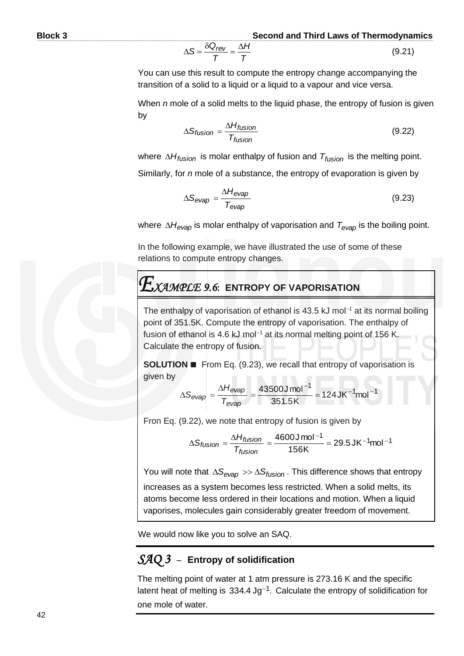$$
\Delta S = \frac{\delta Q_{rev}}{T} = \frac{\Delta H}{T}
$$
 (9.21)

You can use this result to compute the entropy change accompanying the transition of a solid to a liquid or a liquid to a vapour and vice versa.

When *n* mole of a solid melts to the liquid phase, the entropy of fusion is given by

$$
\Delta S_{fusion} = \frac{\Delta H_{fusion}}{T_{fusion}}\tag{9.22}
$$

where  $\Delta H_{fusion}$  is molar enthalpy of fusion and  $\tau_{fusion}$  is the melting point. Similarly, for *n* mole of a substance, the entropy of evaporation is given by

$$
\Delta S_{evap} = \frac{\Delta H_{evap}}{T_{evap}} \tag{9.23}
$$

where  $\Delta H_{\mathsf{evap}}$  is molar enthalpy of vaporisation and  $\tau_{\mathsf{evap}}$  is the boiling point.

In the following example, we have illustrated the use of some of these relations to compute entropy changes.

### *XAMPLE 9.6***: ENTROPY OF VAPORISATION**

The enthalpy of vaporisation of ethanol is 43.5 kJ mol<sup>-1</sup> at its normal boiling point of 351.5K. Compute the entropy of vaporisation. The enthalpy of fusion of ethanol is 4.6 kJ mol<sup>-1</sup> at its normal melting point of 156 K. Calculate the entropy of fusion.

**SOLUTION ■** From Eq. (9.23), we recall that entropy of vaporisation is given by

$$
\Delta S_{evap} = \frac{\Delta H_{evap}}{T_{evap}} = \frac{43500 \text{ J mol}^{-1}}{351.5 \text{ K}} = 124 \text{ J K}^{-1} \text{mol}^{-1}
$$

Fron Eq. (9.22), we note that entropy of fusion is given by

$$
\Delta S_{fusion} = \frac{\Delta H_{fusion}}{T_{fusion}} = \frac{4600 \text{ J mol}^{-1}}{156 \text{ K}} = 29.5 \text{ J K}^{-1} \text{mol}^{-1}
$$

You will note that *Sevap Sfusion* . This difference shows that entropy

increases as a system becomes less restricted. When a solid melts, its atoms become less ordered in their locations and motion. When a liquid vaporises, molecules gain considerably greater freedom of movement.

We would now like you to solve an SAQ.

#### *SAQ 3* –**Entropy of solidification**

latent heat of melting is 334.4 Jg<sup>-1</sup>. Calculate the entropy of solidification for The melting point of water at 1 atm pressure is 273.16 K and the specific one mole of water.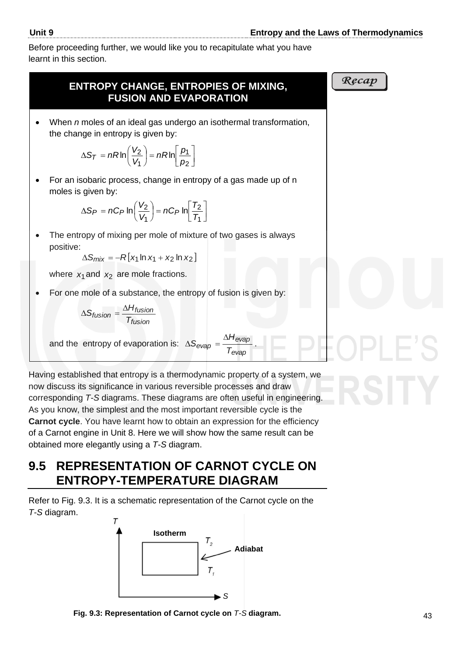Before proceeding further, we would like you to recapitulate what you have learnt in this section.

#### **ENTROPY CHANGE, ENTROPIES OF MIXING, FUSION AND EVAPORATION**

• When *n* moles of an ideal gas undergo an isothermal transformation, the change in entropy is given by:

$$
\Delta S_T = nR \ln \left( \frac{V_2}{V_1} \right) = nR \ln \left[ \frac{p_1}{p_2} \right]
$$

• For an isobaric process, change in entropy of a gas made up of n moles is given by:

$$
\Delta S_P = nC_P \ln \left( \frac{V_2}{V_1} \right) = nC_P \ln \left[ \frac{T_2}{T_1} \right]
$$

The entropy of mixing per mole of mixture of two gases is always positive:

 $\Delta S_{mix} = -R[x_1 \ln x_1 + x_2 \ln x_2]$ 

where  $x_1$  and  $x_2$  are mole fractions.

For one mole of a substance, the entropy of fusion is given by:

$$
\Delta S_{fusion} = \frac{\Delta H_{fusion}}{T_{fusion}}
$$

 and the entropy of evaporation is: *evap evap evap <sup>T</sup> H S*  $\Delta$  $\Delta S_{evap} = \frac{1}{\pi}$ .

Having established that entropy is a thermodynamic property of a system, we now discuss its significance in various reversible processes and draw corresponding *T-S* diagrams. These diagrams are often useful in engineering. As you know, the simplest and the most important reversible cycle is the **Carnot cycle**. You have learnt how to obtain an expression for the efficiency of a Carnot engine in Unit 8. Here we will show how the same result can be obtained more elegantly using a *T-S* diagram.

#### **9.5 REPRESENTATION OF CARNOT CYCLE ON ENTROPY-TEMPERATURE DIAGRAM**

Refer to Fig. 9.3. It is a schematic representation of the Carnot cycle on the *T-S* diagram.



**Fig. 9.3: Representation of Carnot cycle on** *T-S* **diagram.**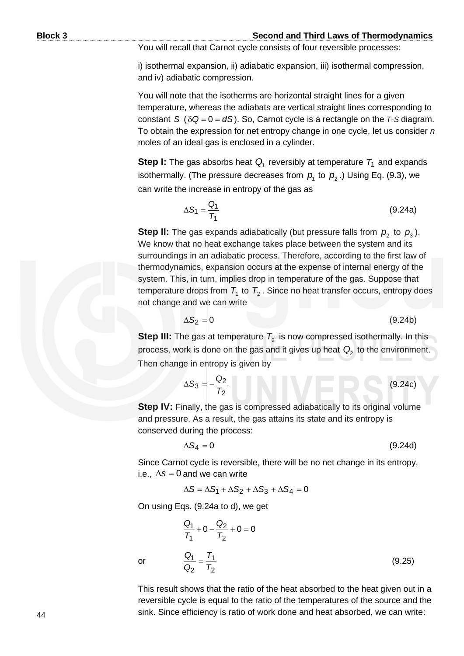You will recall that Carnot cycle consists of four reversible processes:

i) isothermal expansion, ii) adiabatic expansion, iii) isothermal compression, and iv) adiabatic compression.

You will note that the isotherms are horizontal straight lines for a given temperature, whereas the adiabats are vertical straight lines corresponding to constant S  $( \delta Q = 0 = dS)$ . So, Carnot cycle is a rectangle on the *T*-S diagram. To obtain the expression for net entropy change in one cycle, let us consider *n* moles of an ideal gas is enclosed in a cylinder.

**Step I:** The gas absorbs heat  $Q_1$  reversibly at temperature  $T_1$  and expands isothermally. (The pressure decreases from  $p_{\!\scriptscriptstyle 1}$  to  $p_{\!\scriptscriptstyle 2}$  .) Using Eq. (9.3), we can write the increase in entropy of the gas as

$$
\Delta S_1 = \frac{Q_1}{T_1} \tag{9.24a}
$$

**Step II:** The gas expands adiabatically (but pressure falls from  $p_2$  to  $p_3$ ). We know that no heat exchange takes place between the system and its surroundings in an adiabatic process. Therefore, according to the first law of thermodynamics, expansion occurs at the expense of internal energy of the system. This, in turn, implies drop in temperature of the gas. Suppose that temperature drops from  $T_1$  to  $T_2$ . Since no heat transfer occurs, entropy does not change and we can write

$$
\Delta S_2 = 0 \tag{9.24b}
$$

**Step III:** The gas at temperature  $T_2$  is now compressed isothermally. In this process, work is done on the gas and it gives up heat  $Q_2$  to the environment. Then change in entropy is given by

$$
\Delta S_3 = -\frac{Q_2}{T_2} \tag{9.24c}
$$

**Step IV:** Finally, the gas is compressed adiabatically to its original volume and pressure. As a result, the gas attains its state and its entropy is conserved during the process:

$$
\Delta S_4 = 0 \tag{9.24d}
$$

Since Carnot cycle is reversible, there will be no net change in its entropy, i.e.,  $\Delta s = 0$  and we can write

$$
\Delta S = \Delta S_1 + \Delta S_2 + \Delta S_3 + \Delta S_4 = 0
$$

On using Eqs. (9.24a to d), we get

$$
\frac{Q_1}{T_1} + 0 - \frac{Q_2}{T_2} + 0 = 0
$$
  

$$
\frac{Q_1}{Q_2} = \frac{T_1}{T_2}
$$
 (9.25)

or

This result shows that the ratio of the heat absorbed to the heat given out in a reversible cycle is equal to the ratio of the temperatures of the source and the sink. Since efficiency is ratio of work done and heat absorbed, we can write: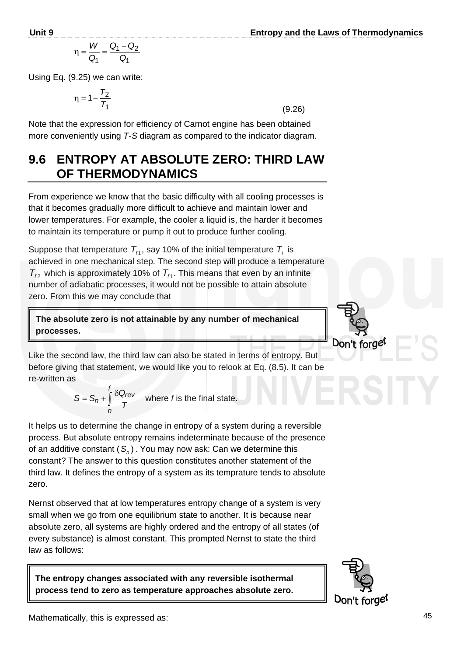$$
\eta=\frac{W}{Q_1}=\frac{Q_1-Q_2}{Q_1}
$$

Using Eq. (9.25) we can write:

$$
\eta=1-\frac{T_2}{T_1}
$$

(9.26)

Note that the expression for efficiency of Carnot engine has been obtained more conveniently using *T-S* diagram as compared to the indicator diagram.

#### **9.6 ENTROPY AT ABSOLUTE ZERO: THIRD LAW OF THERMODYNAMICS**

From experience we know that the basic difficulty with all cooling processes is that it becomes gradually more difficult to achieve and maintain lower and lower temperatures. For example, the cooler a liquid is, the harder it becomes to maintain its temperature or pump it out to produce further cooling.

Suppose that temperature  $T_{f1}$ , say 10% of the initial temperature  $T_i$  is achieved in one mechanical step. The second step will produce a temperature  $T_{f2}$  which is approximately 10% of  $T_{f1}$ . This means that even by an infinite number of adiabatic processes, it would not be possible to attain absolute zero. From this we may conclude that

**The absolute zero is not attainable by any number of mechanical processes.**

Like the second law, the third law can also be stated in terms of entropy. But before giving that statement, we would like you to relook at Eq. (8.5). It can be re-written as

$$
S = S_n + \int_{n}^{f} \frac{\delta Q_{rev}}{T}
$$
 where *f* is the final state.

It helps us to determine the change in entropy of a system during a reversible process. But absolute entropy remains indeterminate because of the presence of an additive constant (S<sub>n</sub>). You may now ask: Can we determine this constant? The answer to this question constitutes another statement of the third law. It defines the entropy of a system as its temprature tends to absolute zero.

Nernst observed that at low temperatures entropy change of a system is very small when we go from one equilibrium state to another. It is because near absolute zero, all systems are highly ordered and the entropy of all states (of every substance) is almost constant. This prompted Nernst to state the third law as follows:

**The entropy changes associated with any reversible isothermal process tend to zero as temperature approaches absolute zero.**



forgel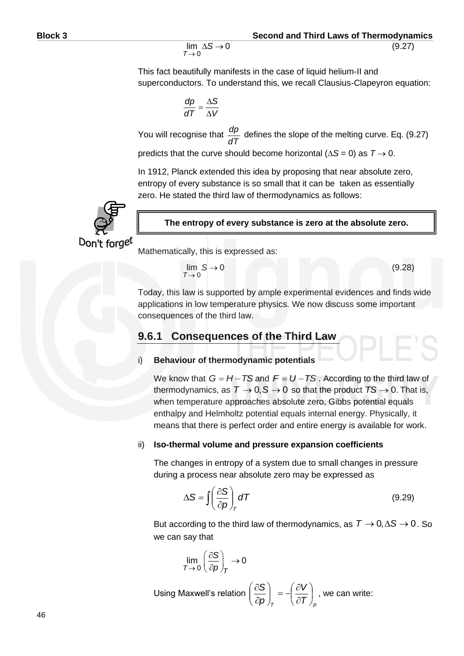$T \rightarrow 0$  $\lim \Delta S \rightarrow 0$ 

This fact beautifully manifests in the case of liquid helium-II and superconductors. To understand this, we recall Clausius-Clapeyron equation:

$$
\frac{dp}{dT} = \frac{\Delta S}{\Delta V}
$$

You will recognise that *dT*  $\frac{dp}{dt}$  defines the slope of the melting curve. Eq. (9.27) predicts that the curve should become horizontal ( $\Delta S = 0$ ) as  $T \rightarrow 0$ .

In 1912, Planck extended this idea by proposing that near absolute zero, entropy of every substance is so small that it can be taken as essentially zero. He stated the third law of thermodynamics as follows:



#### **The entropy of every substance is zero at the absolute zero.**

Mathematically, this is expressed as:

*T*

$$
\lim_{\rightarrow} S \rightarrow 0
$$

(9.28)

Today, this law is supported by ample experimental evidences and finds wide applications in low temperature physics. We now discuss some important consequences of the third law.

#### **9.6.1 Consequences of the Third Law**

#### i) **Behaviour of thermodynamic potentials**

We know that  $G = H - TS$  and  $F = U - TS$  . According to the third law of thermodynamics, as  $T \rightarrow 0$ ,  $S \rightarrow 0$  so that the product  $TS \rightarrow 0$ . That is, when temperature approaches absolute zero, Gibbs potential equals enthalpy and Helmholtz potential equals internal energy. Physically, it means that there is perfect order and entire energy is available for work.

#### ii) **Iso-thermal volume and pressure expansion coefficients**

The changes in entropy of a system due to small changes in pressure during a process near absolute zero may be expressed as

$$
\Delta S = \int \left(\frac{\partial S}{\partial p}\right)_T dT
$$
 (9.29)

But according to the third law of thermodynamics, as  $T \rightarrow 0, \Delta S \rightarrow 0$ . So we can say that

$$
\lim_{T \to 0} \left( \frac{\partial S}{\partial p} \right)_T \to 0
$$

Using Maxwell's relation  $\int_{\mathcal{T}}$   $\left(\frac{\partial \mathcal{T}}{\partial \rho}\right)_{\rho}$ *V p S*  $\overline{\phantom{a}}$  $\bigg)$  $\left(\frac{\partial V}{\partial \bm{\tau}}\right)$  $\setminus$ ſ  $\hat{o}$  $= -\left(\frac{\partial}{\partial z}\right)$ J  $\setminus$  $\overline{\phantom{a}}$  $\setminus$ ſ  $\widehat{o}$  $\left(\frac{\partial S}{\partial S}\right) = -\left(\frac{\partial V}{\partial T}\right)$ , we can write: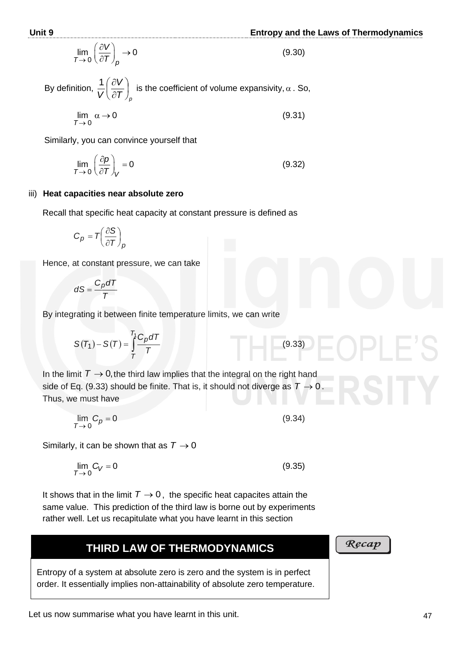Let us now summarise what you have learnt in this unit.

$$
\lim_{T \to 0} \left( \frac{\partial V}{\partial T} \right)_{p} \to 0 \tag{9.30}
$$

By definition,  $\left( \mathcal{T}\right) _{p}$ *V V*  $\overline{\phantom{a}}$  $\bigg)$  $\left(\frac{\partial V}{\partial \boldsymbol{\tau}}\right)$  $\setminus$ ſ  $\partial$  $\frac{1}{\sqrt{2}}\left(\frac{\partial V}{\partial \tau}\right)$  is the coefficient of volume expansivity,  $\alpha$ . So,

$$
\lim_{T \to 0} \alpha \to 0 \tag{9.31}
$$

Similarly, you can convince yourself that

$$
\lim_{T \to 0} \left( \frac{\partial p}{\partial T} \right)_V = 0 \tag{9.32}
$$

#### iii) **Heat capacities near absolute zero**

Recall that specific heat capacity at constant pressure is defined as

$$
C_p = T \left(\frac{\partial S}{\partial T}\right)_p
$$

Hence, at constant pressure, we can take

$$
dS = \frac{C_p dT}{T}
$$

By integrating it between finite temperature limits, we can write

$$
S(T_1) - S(T) = \int_{T}^{T_1} \frac{C_p dT}{T}
$$
 (9.33)

In the limit  $T \rightarrow 0$ , the third law implies that the integral on the right hand side of Eq. (9.33) should be finite. That is, it should not diverge as  $T\rightarrow 0$  . Thus, we must have

$$
\lim_{T \to 0} C_p = 0 \tag{9.34}
$$

Similarly, it can be shown that as  $T \rightarrow 0$ 

$$
\lim_{T \to 0} C_V = 0 \tag{9.35}
$$

It shows that in the limit  $T \rightarrow 0$ , the specific heat capacites attain the same value. This prediction of the third law is borne out by experiments rather well. Let us recapitulate what you have learnt in this section

#### **THIRD LAW OF THERMODYNAMICS**

Entropy of a system at absolute zero is zero and the system is in perfect order. It essentially implies non-attainability of absolute zero temperature. Recap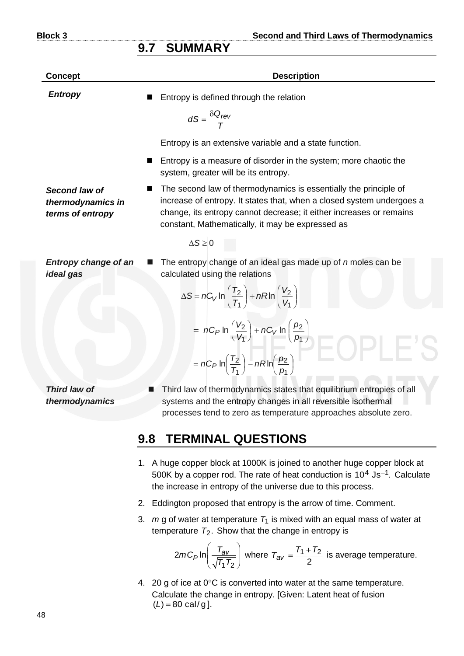#### **9.7 SUMMARY**

| <b>Concept</b>                                         | <b>Description</b>                                                                                                                                                                                                                                                   |
|--------------------------------------------------------|----------------------------------------------------------------------------------------------------------------------------------------------------------------------------------------------------------------------------------------------------------------------|
| <b>Entropy</b>                                         | Entropy is defined through the relation                                                                                                                                                                                                                              |
|                                                        | $dS = \frac{\delta Q_{rev}}{\tau}$                                                                                                                                                                                                                                   |
|                                                        | Entropy is an extensive variable and a state function.                                                                                                                                                                                                               |
|                                                        | Entropy is a measure of disorder in the system; more chaotic the<br>system, greater will be its entropy.                                                                                                                                                             |
| Second law of<br>thermodynamics in<br>terms of entropy | The second law of thermodynamics is essentially the principle of<br>increase of entropy. It states that, when a closed system undergoes a<br>change, its entropy cannot decrease; it either increases or remains<br>constant, Mathematically, it may be expressed as |
|                                                        | $\Delta S \geq 0$                                                                                                                                                                                                                                                    |
| <b>Entropy change of an</b><br>ideal gas               | The entropy change of an ideal gas made up of n moles can be<br>calculated using the relations<br>$\Delta S = nC_V \ln \left( \frac{T_2}{T_1} \right) + nR \ln \left( \frac{V_2}{V_1} \right)$                                                                       |
|                                                        | $= nC_P \ln \left( \frac{V_2}{V_1} \right) + nC_V \ln \left( \frac{p_2}{p_1} \right)$                                                                                                                                                                                |
|                                                        | $= nC_P \ln \left( \frac{T_2}{T_1} \right) - nR \ln \left( \frac{p_2}{p_1} \right)$                                                                                                                                                                                  |
| Third law of                                           | Third law of thermodynamics states that equilibrium entropies of all                                                                                                                                                                                                 |

*thermodynamics*

systems and the entropy changes in all reversible isothermal processes tend to zero as temperature approaches absolute zero.

#### **9.8 TERMINAL QUESTIONS**

- 1. A huge copper block at 1000K is joined to another huge copper block at 500K by a copper rod. The rate of heat conduction is  $10^4$  Js<sup>-1</sup>. Calculate the increase in entropy of the universe due to this process.
- 2. Eddington proposed that entropy is the arrow of time. Comment.
- 3.  $m$  g of water at temperature  $T_1$  is mixed with an equal mass of water at temperature  $T_2$ . Show that the change in entropy is

$$
2mC_P \ln\left(\frac{T_{av}}{\sqrt{T_1 T_2}}\right)
$$
 where  $T_{av} = \frac{T_1 + T_2}{2}$  is average temperature.

4. 20 g of ice at  $0^{\circ}$ C is converted into water at the same temperature. Calculate the change in entropy. [Given: Latent heat of fusion  $(L) = 80 \text{ cal/g}.$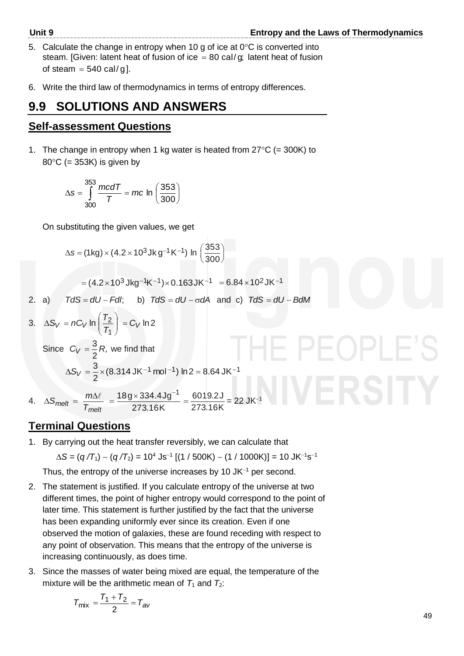- 5. Calculate the change in entropy when 10 g of ice at  $0^{\circ}$ C is converted into steam. [Given: latent heat of fusion of ice  $= 80$  cal/g; latent heat of fusion of steam  $= 540$  cal/g].
- 6. Write the third law of thermodynamics in terms of entropy differences.

#### **9.9 SOLUTIONS AND ANSWERS**

#### **Self-assessment Questions**

1. The change in entropy when 1 kg water is heated from  $27^{\circ}$ C (= 300K) to  $80^{\circ}$ C (= 353K) is given by

$$
\Delta s = \int_{300}^{353} \frac{mc dT}{T} = mc \ln \left(\frac{353}{300}\right)
$$

On substituting the given values, we get

$$
\Delta s = (1 \text{kg}) \times (4.2 \times 10^3 \text{J} \text{kg}^{-1} \text{K}^{-1}) \text{ ln} \left( \frac{353}{300} \right)
$$

$$
= (4.2 \times 10^{3} \text{ Jkg}^{-1} \text{K}^{-1}) \times 0.163 \text{ JK}^{-1} = 6.84 \times 10^{2} \text{ JK}^{-1}
$$

2. a) 
$$
TdS = dU - Fdl
$$
; b)  $TdS = dU - \sigma dA$  and c)  $TdS = dU - BdM$ 

3.  $\Delta S_V = nC_V \ln \left| \frac{r_2}{L} \right|$ J  $\mathcal{L}$  $\mathsf{I}$  $\setminus$ ſ 1 2 *T*  $\left(\frac{T_2}{T}\right)$  =  $C_V$  ln 2 Since  $C_V = \frac{3}{5}R$ , 2  $C_V = \frac{3}{2}R$ , we find that  $(8.314 \text{ J} \text{K}^{-1} \text{ mol}^{-1}) \ln 2 = 8.64 \text{ J} \text{K}^{-1}$  $\Delta S_V = \frac{3}{2} \times (8.314 \text{ J} \text{K}^{-1} \text{ mol}^{-1}) \ln 2 = 8.64 \text{ J} \text{K}^{-1}$ 4.  $\Delta S_{melt} = \frac{m\Delta E}{T_{melt}}$ *m* 273.16K  $=\frac{18 g \times 334.4 J g^{-1}}{272.4 \times 10^{14}}$ 273.16K  $=\frac{6019.2 \text{ J}}{272.4 \text{ K}}$  = 22 JK<sup>-1</sup>

#### **Terminal Questions**

1. By carrying out the heat transfer reversibly, we can calculate that

$$
\Delta S = (q/T_1) - (q/T_2) = 10^4 \text{ Js}^{-1} [(1 / 500 \text{K}) - (1 / 1000 \text{K})] = 10 \text{ JK}^{-1} \text{s}^{-1}
$$

Thus, the entropy of the universe increases by 10 JK<sup>−</sup><sup>1</sup> per second.

- 2. The statement is justified. If you calculate entropy of the universe at two different times, the point of higher entropy would correspond to the point of later time. This statement is further justified by the fact that the universe has been expanding uniformly ever since its creation. Even if one observed the motion of galaxies, these are found receding with respect to any point of observation. This means that the entropy of the universe is increasing continuously, as does time.
- 3. Since the masses of water being mixed are equal, the temperature of the mixture will be the arithmetic mean of  $T_1$  and  $T_2$ :

$$
T_{mix}=\frac{T_1+T_2}{2}=T_{av}
$$